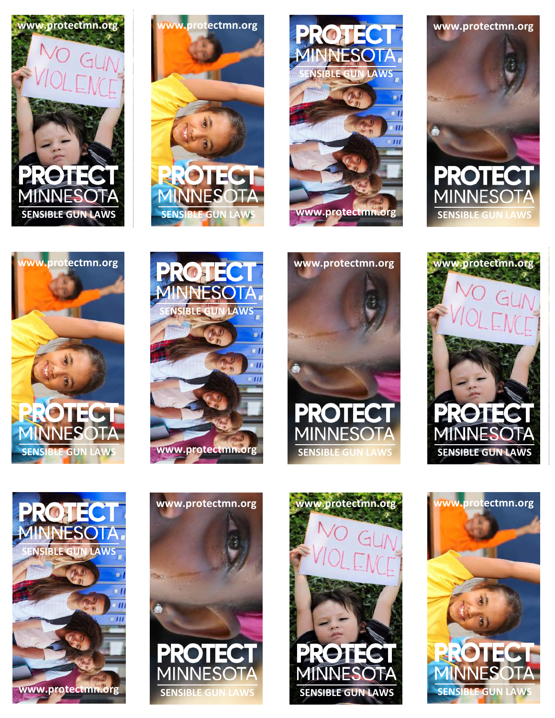













**www.protectmn.org**